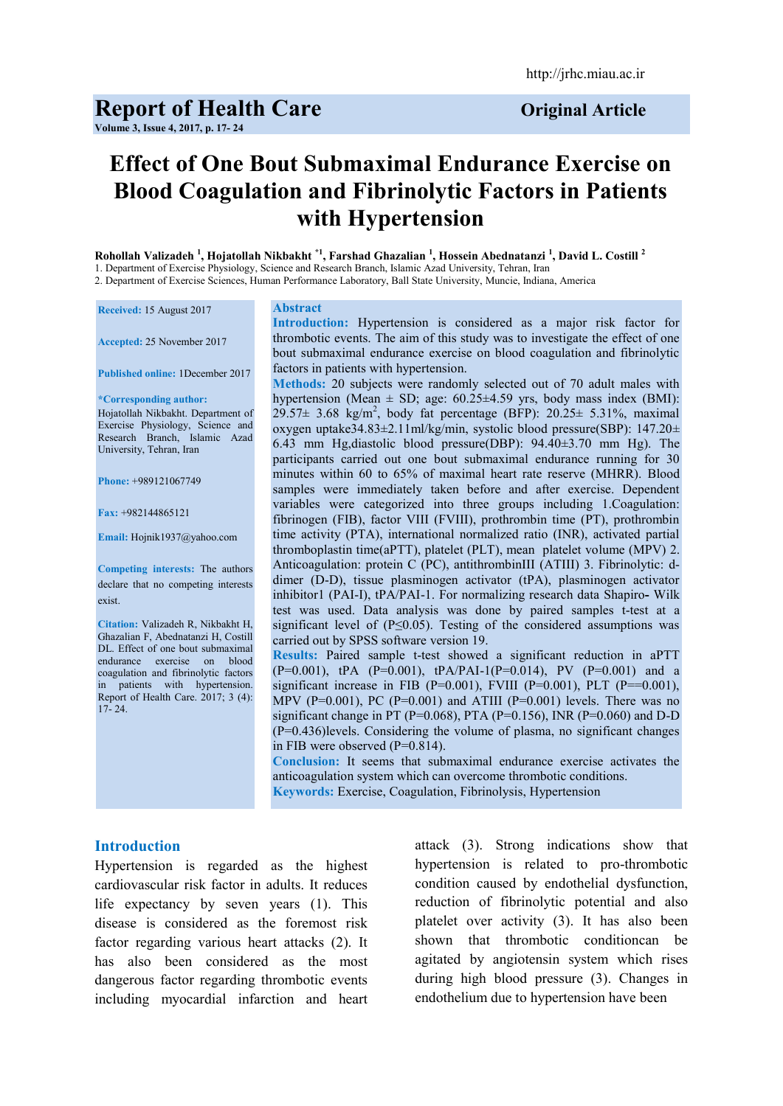# **Report of Health Care** *Original Article*

**Volume 3, Issue 4, 2017, p. 17- 24**

# **Effect of One Bout Submaximal Endurance Exercise on Blood Coagulation and Fibrinolytic Factors in Patients with Hypertension**

**Rohollah Valizadeh <sup>1</sup> , Hojatollah Nikbakht \*1, Farshad Ghazalian <sup>1</sup> , Hossein Abednatanzi <sup>1</sup> , David L. Costill <sup>2</sup>** 1. Department of Exercise Physiology, Science and Research Branch, Islamic Azad University, Tehran, Iran

2. Department of Exercise Sciences, Human Performance Laboratory, Ball State University, Muncie, Indiana, America

**Received:** 15 August 2017

**Accepted:** 25 November 2017

**Published online:** 1December 2017

**\*Corresponding author:** Hojatollah Nikbakht. Department of Exercise Physiology, Science and Research Branch, Islamic Azad University, Tehran, Iran

**Phone:** +989121067749

**Fax:** +982144865121

**Email:** Hojnik1937@yahoo.com

**Competing interests:** The authors declare that no competing interests exist.

**Citation:** Valizadeh R, Nikbakht H, Ghazalian F, Abednatanzi H, Costill DL. Effect of one bout submaximal endurance exercise on blood coagulation and fibrinolytic factors in patients with hypertension. Report of Health Care. 2017; 3 (4):  $17-24$ 

#### **Abstract**

**Introduction:** Hypertension is considered as a major risk factor for thrombotic events. The aim of this study was to investigate the effect of one bout submaximal endurance exercise on blood coagulation and fibrinolytic factors in patients with hypertension.

**Methods:** 20 subjects were randomly selected out of 70 adult males with hypertension (Mean  $\pm$  SD; age: 60.25 $\pm$ 4.59 yrs, body mass index (BMI):  $29.57\pm 3.68$  kg/m<sup>2</sup>, body fat percentage (BFP):  $20.25\pm 5.31\%$ , maximal oxygen uptake34.83±2.11ml/kg/min, systolic blood pressure(SBP): 147.20± 6.43 mm Hg,diastolic blood pressure(DBP): 94.40±3.70 mm Hg). The participants carried out one bout submaximal endurance running for 30 minutes within 60 to 65% of maximal heart rate reserve (MHRR). Blood samples were immediately taken before and after exercise. Dependent variables were categorized into three groups including 1.Coagulation: fibrinogen (FIB), factor VIII (FVIII), prothrombin time (PT), prothrombin time activity (PTA), international normalized ratio (INR), activated partial thromboplastin time(aPTT), platelet (PLT), mean platelet volume (MPV) 2. Anticoagulation: protein C (PC), antithrombinIII (ATIII) 3. Fibrinolytic: ddimer (D-D), tissue plasminogen activator (tPA), plasminogen activator inhibitor1 (PAI-I), tPA/PAI-1. For normalizing research data Shapiro**-** Wilk test was used. Data analysis was done by paired samples t-test at a significant level of (P≤0.05). Testing of the considered assumptions was carried out by SPSS software version 19.

**Results:** Paired sample t-test showed a significant reduction in aPTT  $(P=0.001)$ ,  $tPA$   $(P=0.001)$ ,  $tPA/PAI-1(P=0.014)$ , PV  $(P=0.001)$  and a significant increase in FIB (P=0.001), FVIII (P=0.001), PLT (P==0.001), MPV (P=0.001), PC (P=0.001) and ATIII (P=0.001) levels. There was no significant change in PT (P=0.068), PTA (P=0.156), INR (P=0.060) and D-D (P=0.436)levels. Considering the volume of plasma, no significant changes in FIB were observed (P=0.814).

**Conclusion:** It seems that submaximal endurance exercise activates the anticoagulation system which can overcome thrombotic conditions. **Keywords:** Exercise, Coagulation, Fibrinolysis, Hypertension

#### **Introduction**

Hypertension is regarded as the highest cardiovascular risk factor in adults. It reduces life expectancy by seven years (1). This disease is considered as the foremost risk factor regarding various heart attacks (2). It has also been considered as the most dangerous factor regarding thrombotic events including myocardial infarction and heart attack (3). Strong indications show that hypertension is related to pro-thrombotic condition caused by endothelial dysfunction, reduction of fibrinolytic potential and also platelet over activity (3). It has also been shown that thrombotic conditioncan be agitated by angiotensin system which rises during high blood pressure (3). Changes in endothelium due to hypertension have been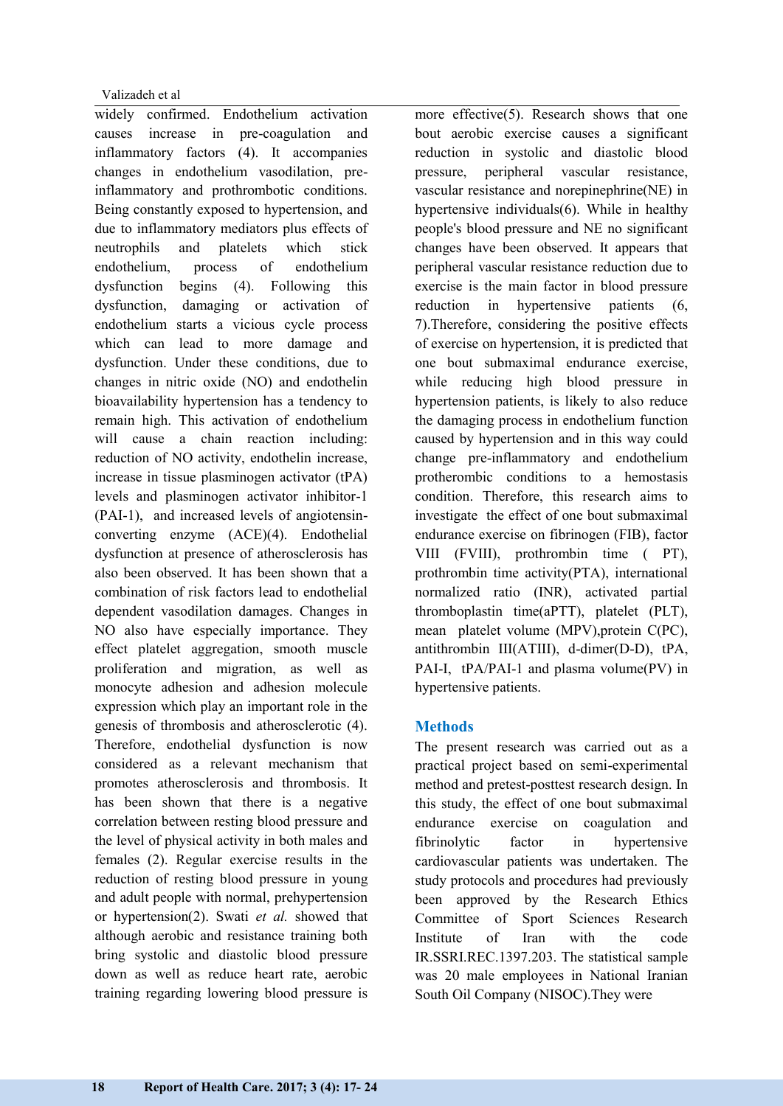widely confirmed. Endothelium activation causes increase in pre-coagulation and inflammatory factors (4). It accompanies changes in endothelium vasodilation, preinflammatory and prothrombotic conditions. Being constantly exposed to hypertension, and due to inflammatory mediators plus effects of neutrophils and platelets which stick endothelium, process of endothelium dysfunction begins (4). Following this dysfunction, damaging or activation of endothelium starts a vicious cycle process which can lead to more damage and dysfunction. Under these conditions, due to changes in nitric oxide (NO) and endothelin bioavailability hypertension has a tendency to remain high. This activation of endothelium will cause a chain reaction including: reduction of NO activity, endothelin increase, increase in tissue plasminogen activator (tPA) levels and plasminogen activator inhibitor-1 (PAI-1), and increased levels of angiotensinconverting enzyme (ACE)(4). Endothelial dysfunction at presence of atherosclerosis has also been observed. It has been shown that a combination of risk factors lead to endothelial dependent vasodilation damages. Changes in NO also have especially importance. They effect platelet aggregation, smooth muscle proliferation and migration, as well as monocyte adhesion and adhesion molecule expression which play an important role in the genesis of thrombosis and atherosclerotic (4). Therefore, endothelial dysfunction is now considered as a relevant mechanism that promotes atherosclerosis and thrombosis. It has been shown that there is a negative correlation between resting blood pressure and the level of physical activity in both males and females (2). Regular exercise results in the reduction of resting blood pressure in young and adult people with normal, prehypertension or hypertension(2). Swati *et al.* showed that although aerobic and resistance training both bring systolic and diastolic blood pressure down as well as reduce heart rate, aerobic training regarding lowering blood pressure is

more effective(5). Research shows that one bout aerobic exercise causes a significant reduction in systolic and diastolic blood pressure, peripheral vascular resistance, vascular resistance and norepinephrine(NE) in hypertensive individuals(6). While in healthy people's blood pressure and NE no significant changes have been observed. It appears that peripheral vascular resistance reduction due to exercise is the main factor in blood pressure reduction in hypertensive patients (6, 7).Therefore, considering the positive effects of exercise on hypertension, it is predicted that one bout submaximal endurance exercise, while reducing high blood pressure in hypertension patients, is likely to also reduce the damaging process in endothelium function caused by hypertension and in this way could change pre-inflammatory and endothelium protherombic conditions to a hemostasis condition. Therefore, this research aims to investigate the effect of one bout submaximal endurance exercise on fibrinogen (FIB), factor VIII (FVIII), prothrombin time ( PT), prothrombin time activity(PTA), international normalized ratio (INR), activated partial thromboplastin time(aPTT), platelet (PLT), mean platelet volume (MPV),protein C(PC), antithrombin III(ATIII), d-dimer(D-D), tPA, PAI-I, tPA/PAI-1 and plasma volume(PV) in hypertensive patients.

# **Methods**

The present research was carried out as a practical project based on semi-experimental method and pretest-posttest research design. In this study, the effect of one bout submaximal endurance exercise on coagulation and fibrinolytic factor in hypertensive cardiovascular patients was undertaken. The study protocols and procedures had previously been approved by the Research Ethics Committee of Sport Sciences Research Institute of Iran with the code IR.SSRI.REC.1397.203. The statistical sample was 20 male employees in National Iranian South Oil Company (NISOC).They were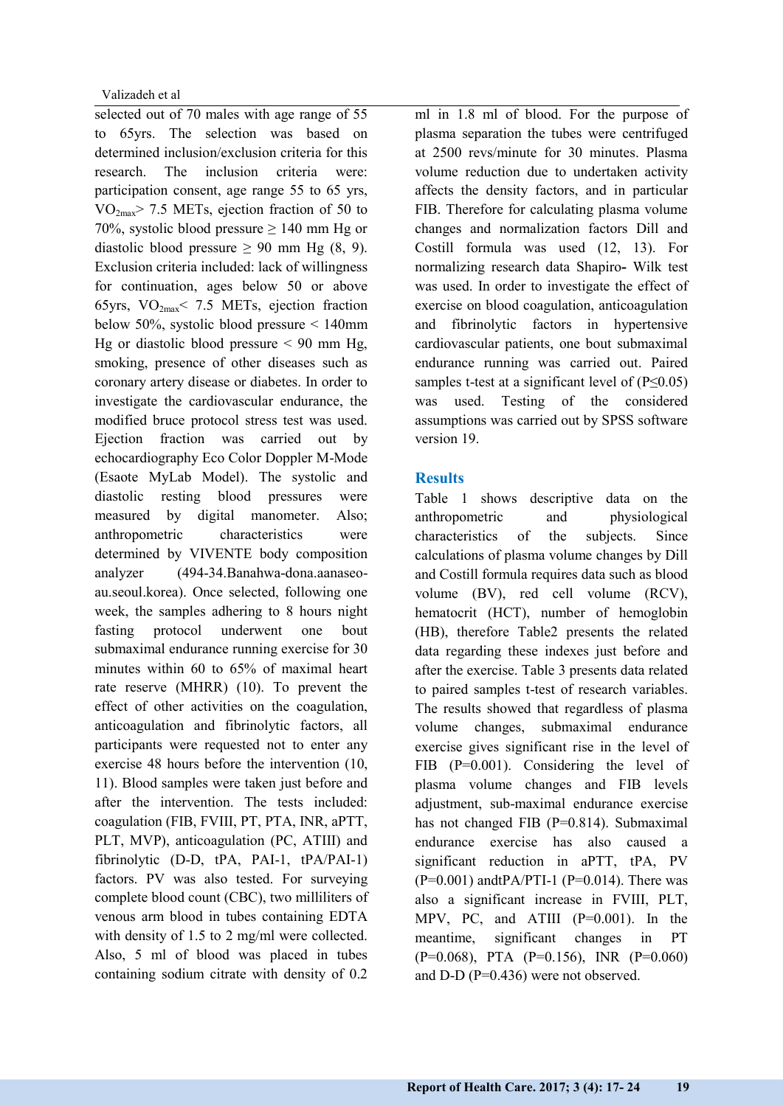selected out of 70 males with age range of 55 to 65yrs. The selection was based on determined inclusion/exclusion criteria for this research. The inclusion criteria were: participation consent, age range 55 to 65 yrs,  $VO<sub>2max</sub> > 7.5 METs$ , ejection fraction of 50 to 70%, systolic blood pressure  $\geq$  140 mm Hg or diastolic blood pressure  $\geq 90$  mm Hg (8, 9). Exclusion criteria included: lack of willingness for continuation, ages below 50 or above 65yrs,  $VO_{2max}$ < 7.5 METs, ejection fraction below 50%, systolic blood pressure < 140mm Hg or diastolic blood pressure  $< 90$  mm Hg, smoking, presence of other diseases such as coronary artery disease or diabetes. In order to investigate the cardiovascular endurance, the modified bruce protocol stress test was used. Ejection fraction was carried out by echocardiography Eco Color Doppler M-Mode (Esaote MyLab Model). The systolic and diastolic resting blood pressures were measured by digital manometer. Also; anthropometric characteristics were determined by VIVENTE body composition analyzer (494-34.Banahwa-dona.aanaseoau.seoul.korea). Once selected, following one week, the samples adhering to 8 hours night fasting protocol underwent one bout submaximal endurance running exercise for 30 minutes within 60 to 65% of maximal heart rate reserve (MHRR) (10). To prevent the effect of other activities on the coagulation, anticoagulation and fibrinolytic factors, all participants were requested not to enter any exercise 48 hours before the intervention (10, 11). Blood samples were taken just before and after the intervention. The tests included: coagulation (FIB, FVIII, PT, PTA, INR, aPTT, PLT, MVP), anticoagulation (PC, ATIII) and fibrinolytic (D-D, tPA, PAI-1, tPA/PAI-1) factors. PV was also tested. For surveying complete blood count (CBC), two milliliters of venous arm blood in tubes containing EDTA with density of 1.5 to 2 mg/ml were collected. Also, 5 ml of blood was placed in tubes containing sodium citrate with density of 0.2

ml in 1.8 ml of blood. For the purpose of plasma separation the tubes were centrifuged at 2500 revs/minute for 30 minutes. Plasma volume reduction due to undertaken activity affects the density factors, and in particular FIB. Therefore for calculating plasma volume changes and normalization factors Dill and Costill formula was used (12, 13). For normalizing research data Shapiro**-** Wilk test was used. In order to investigate the effect of exercise on blood coagulation, anticoagulation and fibrinolytic factors in hypertensive cardiovascular patients, one bout submaximal endurance running was carried out. Paired samples t-test at a significant level of  $(P \le 0.05)$ was used. Testing of the considered assumptions was carried out by SPSS software version 19.

# **Results**

Table 1 shows descriptive data on the anthropometric and physiological characteristics of the subjects. Since calculations of plasma volume changes by Dill and Costill formula requires data such as blood volume (BV), red cell volume (RCV), hematocrit (HCT), number of hemoglobin (HB), therefore Table2 presents the related data regarding these indexes just before and after the exercise. Table 3 presents data related to paired samples t-test of research variables. The results showed that regardless of plasma volume changes, submaximal endurance exercise gives significant rise in the level of FIB (P=0.001). Considering the level of plasma volume changes and FIB levels adjustment, sub-maximal endurance exercise has not changed FIB (P=0.814). Submaximal endurance exercise has also caused a significant reduction in aPTT, tPA, PV  $(P=0.001)$  andtPA/PTI-1 (P=0.014). There was also a significant increase in FVIII, PLT, MPV, PC, and ATIII (P=0.001). In the meantime, significant changes in PT (P=0.068), PTA (P=0.156), INR (P=0.060) and D-D (P=0.436) were not observed.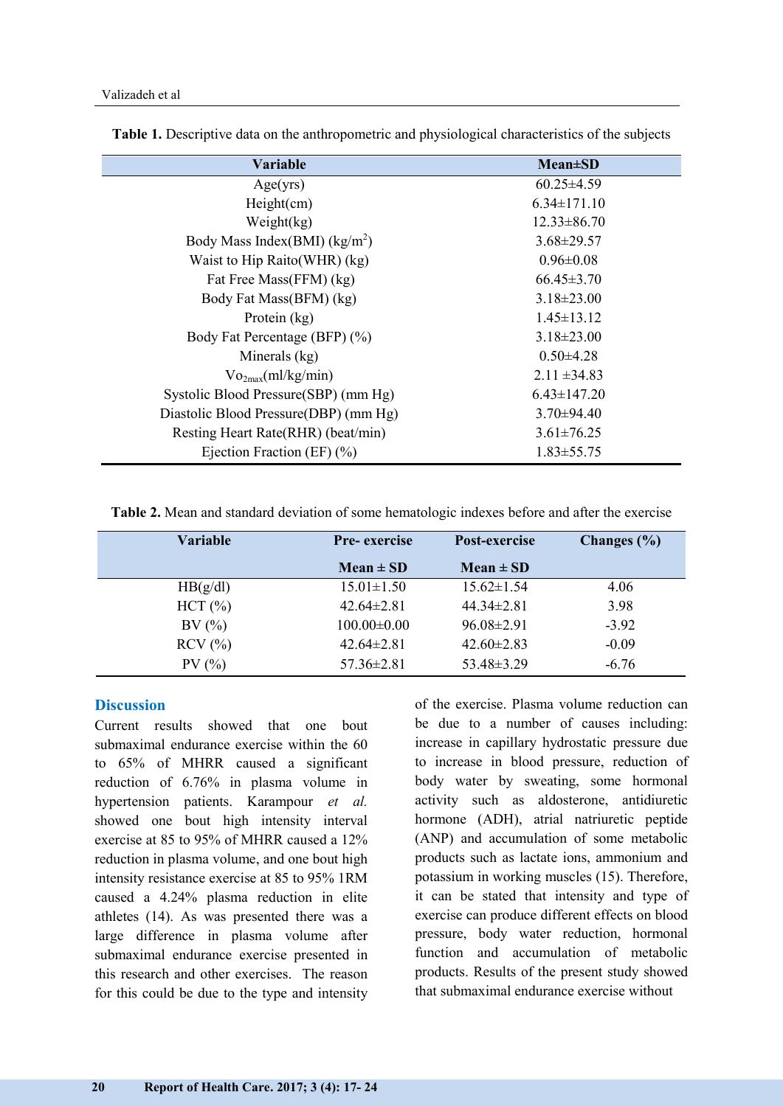| Variable                                      | $Mean \pm SD$     |
|-----------------------------------------------|-------------------|
| Age(yrs)                                      | $60.25 \pm 4.59$  |
| Height(cm)                                    | $6.34 \pm 171.10$ |
| Weight $(kg)$                                 | $12.33 \pm 86.70$ |
| Body Mass Index(BMI) $(kg/m2)$                | $3.68 \pm 29.57$  |
| Waist to Hip Raito (WHR) (kg)                 | $0.96 \pm 0.08$   |
| Fat Free Mass(FFM) (kg)                       | $66.45 \pm 3.70$  |
| Body Fat Mass(BFM) (kg)                       | $3.18 \pm 23.00$  |
| Protein (kg)                                  | $1.45 \pm 13.12$  |
| Body Fat Percentage (BFP) (%)                 | $3.18 \pm 23.00$  |
| Minerals (kg)                                 | $0.50 \pm 4.28$   |
| $\mathrm{Vo}_{2\text{max}}(\text{ml/kg/min})$ | $2.11 \pm 34.83$  |
| Systolic Blood Pressure (SBP) (mm Hg)         | $6.43 \pm 147.20$ |
| Diastolic Blood Pressure (DBP) (mm Hg)        | $3.70\pm94.40$    |
| Resting Heart Rate(RHR) (beat/min)            | $3.61 \pm 76.25$  |
| Ejection Fraction (EF) $(\% )$                | $1.83 \pm 55.75$  |

**Table 1.** Descriptive data on the anthropometric and physiological characteristics of the subjects

**Table 2.** Mean and standard deviation of some hematologic indexes before and after the exercise

| Variable                         | <b>Pre-</b> exercise | Post-exercise    | Changes $(\% )$ |  |
|----------------------------------|----------------------|------------------|-----------------|--|
|                                  | $Mean \pm SD$        | $Mean \pm SD$    |                 |  |
| HB(g/dl)                         | $15.01 \pm 1.50$     | $15.62 \pm 1.54$ | 4.06            |  |
| HCT (%)                          | $42.64\pm2.81$       | $44.34 \pm 2.81$ | 3.98            |  |
| BV(%)                            | $100.00 \pm 0.00$    | $96.08 \pm 2.91$ | $-3.92$         |  |
| $RCV$ $\left(\frac{9}{6}\right)$ | $42.64\pm2.81$       | $42.60 \pm 2.83$ | $-0.09$         |  |
| PV(%)                            | $57.36 \pm 2.81$     | $53.48 \pm 3.29$ | $-6.76$         |  |

#### **Discussion**

Current results showed that one bout submaximal endurance exercise within the 60 to 65% of MHRR caused a significant reduction of 6.76% in plasma volume in hypertension patients. Karampour *et al.* showed one bout high intensity interval exercise at 85 to 95% of MHRR caused a 12% reduction in plasma volume, and one bout high intensity resistance exercise at 85 to 95% 1RM caused a 4.24% plasma reduction in elite athletes (14). As was presented there was a large difference in plasma volume after submaximal endurance exercise presented in this research and other exercises. The reason for this could be due to the type and intensity

of the exercise. Plasma volume reduction can be due to a number of causes including: increase in capillary hydrostatic pressure due to increase in blood pressure, reduction of body water by sweating, some hormonal activity such as aldosterone, antidiuretic hormone (ADH), atrial natriuretic peptide (ANP) and accumulation of some metabolic products such as lactate ions, ammonium and potassium in working muscles (15). Therefore, it can be stated that intensity and type of exercise can produce different effects on blood pressure, body water reduction, hormonal function and accumulation of metabolic products. Results of the present study showed that submaximal endurance exercise without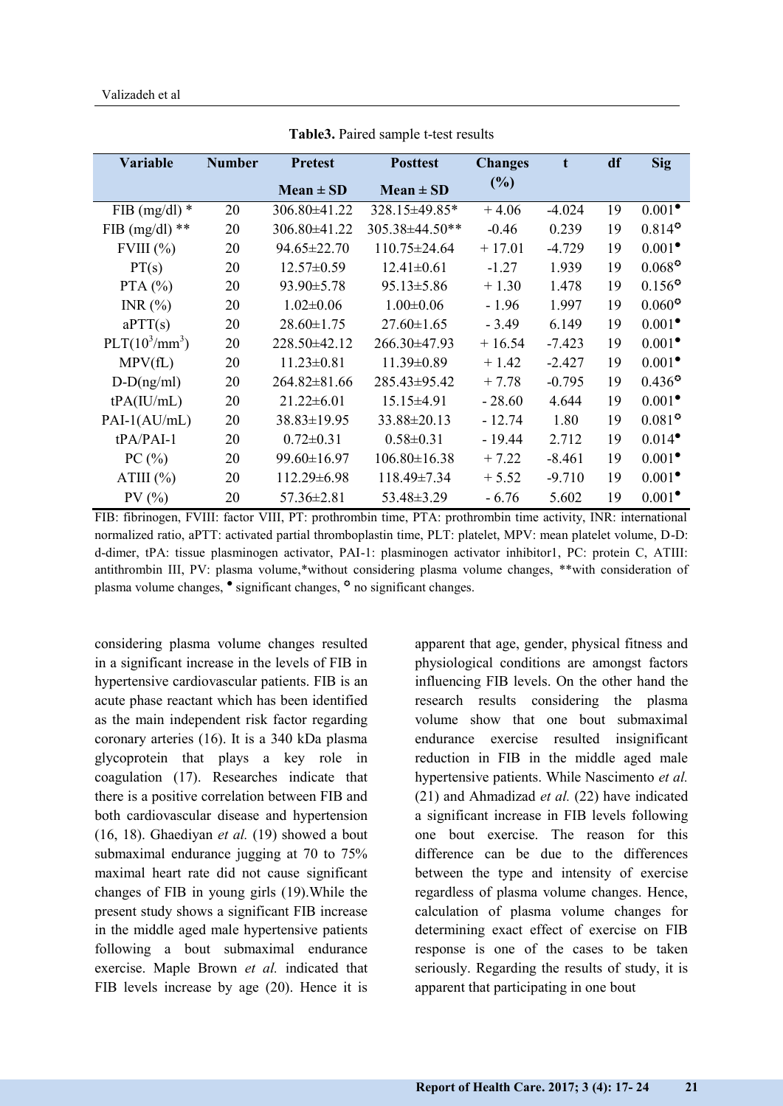| <b>Variable</b>  | <b>Number</b> | <b>Pretest</b>    | <b>Posttest</b>    | <b>Changes</b> | t        | df | Sig                                     |
|------------------|---------------|-------------------|--------------------|----------------|----------|----|-----------------------------------------|
|                  |               | $Mean \pm SD$     | $Mean \pm SD$      | (%)            |          |    |                                         |
| FIB (mg/dl) $*$  | 20            | 306.80±41.22      | 328.15±49.85*      | $+4.06$        | $-4.024$ | 19 | $0.001^{\bullet}$                       |
| FIB (mg/dl) $**$ | 20            | 306.80±41.22      | 305.38±44.50**     | $-0.46$        | 0.239    | 19 | $0.814^{\circ}$                         |
| $FVIII$ $%$      | 20            | 94.65±22.70       | 110.75±24.64       | $+17.01$       | $-4.729$ | 19 | $0.001^{\bullet}$                       |
| PT(s)            | 20            | $12.57 \pm 0.59$  | $12.41 \pm 0.61$   | $-1.27$        | 1.939    | 19 | $0.068^\circ$                           |
| PTA $(%)$        | 20            | $93.90 \pm 5.78$  | $95.13 \pm 5.86$   | $+1.30$        | 1.478    | 19 | $0.156^{\circ}$                         |
| INR $(\% )$      | 20            | $1.02 \pm 0.06$   | $1.00 \pm 0.06$    | $-1.96$        | 1.997    | 19 | $0.060^\circ$                           |
| aPTT(s)          | 20            | $28.60 \pm 1.75$  | $27.60 \pm 1.65$   | $-3.49$        | 6.149    | 19 | $0.001^{\bullet}$                       |
| $PLT(10^3/mm^3)$ | 20            | 228.50±42.12      | 266.30±47.93       | $+16.54$       | $-7.423$ | 19 | $0.001^{\bullet}$                       |
| MPV(fL)          | 20            | $11.23 \pm 0.81$  | $11.39 \pm 0.89$   | $+1.42$        | $-2.427$ | 19 | $0.001^{\bullet}$                       |
| $D-D(ng/ml)$     | 20            | 264.82±81.66      | 285.43±95.42       | $+7.78$        | $-0.795$ | 19 | $0.436^{\circ}$                         |
| tPA(IU/mL)       | 20            | $21.22 \pm 6.01$  | $15.15 \pm 4.91$   | $-28.60$       | 4.644    | 19 | $0.001$ <sup><math>\bullet</math></sup> |
| $PAI-1(AU/mL)$   | 20            | $38.83 \pm 19.95$ | $33.88 \pm 20.13$  | $-12.74$       | 1.80     | 19 | $0.081^{\circ}$                         |
| $tPA/PAI-1$      | 20            | $0.72 \pm 0.31$   | $0.58 \pm 0.31$    | - 19.44        | 2.712    | 19 | $0.014^{\bullet}$                       |
| PC(%)            | 20            | 99.60±16.97       | $106.80 \pm 16.38$ | $+7.22$        | $-8.461$ | 19 | $0.001^{\bullet}$                       |
| ATIII $(\%)$     | 20            | 112.29±6.98       | 118.49±7.34        | $+5.52$        | $-9.710$ | 19 | $0.001$ <sup><math>\bullet</math></sup> |
| PV(%)            | 20            | $57.36 \pm 2.81$  | 53.48±3.29         | $-6.76$        | 5.602    | 19 | $0.001^{\bullet}$                       |

**Table3.** Paired sample t-test results

FIB: fibrinogen, FVIII: factor VIII, PT: prothrombin time, PTA: prothrombin time activity, INR: international normalized ratio, aPTT: activated partial thromboplastin time, PLT: platelet, MPV: mean platelet volume, D-D: d-dimer, tPA: tissue plasminogen activator, PAI-1: plasminogen activator inhibitor1, PC: protein C, ATIII: antithrombin III, PV: plasma volume,\*without considering plasma volume changes, \*\*with consideration of plasma volume changes,  $\bullet$  significant changes,  $\circ$  no significant changes.

considering plasma volume changes resulted in a significant increase in the levels of FIB in hypertensive cardiovascular patients. FIB is an acute phase reactant which has been identified as the main independent risk factor regarding coronary arteries (16). It is a 340 kDa plasma glycoprotein that plays a key role in coagulation (17). Researches indicate that there is a positive correlation between FIB and both cardiovascular disease and hypertension (16, 18). Ghaediyan *et al.* (19) showed a bout submaximal endurance jugging at 70 to 75% maximal heart rate did not cause significant changes of FIB in young girls (19).While the present study shows a significant FIB increase in the middle aged male hypertensive patients following a bout submaximal endurance exercise. Maple Brown *et al.* indicated that FIB levels increase by age (20). Hence it is

apparent that age, gender, physical fitness and physiological conditions are amongst factors influencing FIB levels. On the other hand the research results considering the plasma volume show that one bout submaximal endurance exercise resulted insignificant reduction in FIB in the middle aged male hypertensive patients. While Nascimento *et al.* (21) and Ahmadizad *et al.* (22) have indicated a significant increase in FIB levels following one bout exercise. The reason for this difference can be due to the differences between the type and intensity of exercise regardless of plasma volume changes. Hence, calculation of plasma volume changes for determining exact effect of exercise on FIB response is one of the cases to be taken seriously. Regarding the results of study, it is apparent that participating in one bout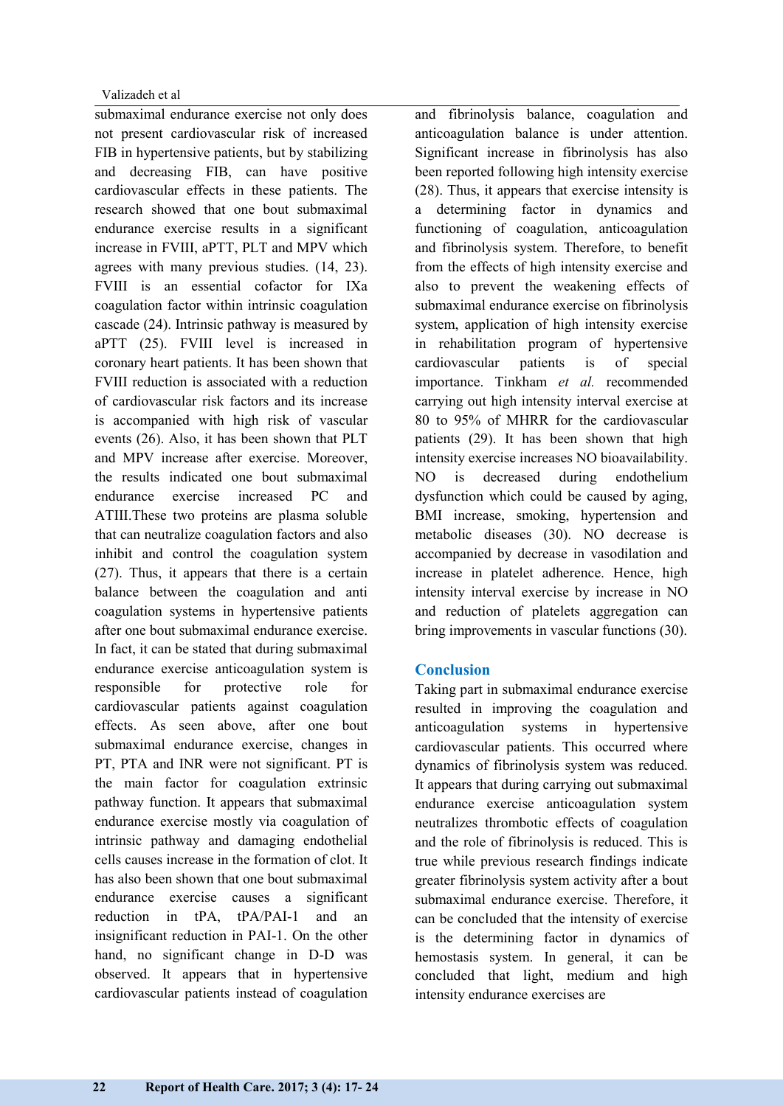submaximal endurance exercise not only does not present cardiovascular risk of increased FIB in hypertensive patients, but by stabilizing and decreasing FIB, can have positive cardiovascular effects in these patients. The research showed that one bout submaximal endurance exercise results in a significant increase in FVIII, aPTT, PLT and MPV which agrees with many previous studies. (14, 23). FVIII is an essential cofactor for IXa coagulation factor within intrinsic coagulation cascade (24). Intrinsic pathway is measured by aPTT (25). FVIII level is increased in coronary heart patients. It has been shown that FVIII reduction is associated with a reduction of cardiovascular risk factors and its increase is accompanied with high risk of vascular events (26). Also, it has been shown that PLT and MPV increase after exercise. Moreover, the results indicated one bout submaximal endurance exercise increased PC and ATIII.These two proteins are plasma soluble that can neutralize coagulation factors and also inhibit and control the coagulation system (27). Thus, it appears that there is a certain balance between the coagulation and anti coagulation systems in hypertensive patients after one bout submaximal endurance exercise. In fact, it can be stated that during submaximal endurance exercise anticoagulation system is responsible for protective role for cardiovascular patients against coagulation effects. As seen above, after one bout submaximal endurance exercise, changes in PT, PTA and INR were not significant. PT is the main factor for coagulation extrinsic pathway function. It appears that submaximal endurance exercise mostly via coagulation of intrinsic pathway and damaging endothelial cells causes increase in the formation of clot. It has also been shown that one bout submaximal endurance exercise causes a significant reduction in tPA, tPA/PAI-1 and an insignificant reduction in PAI-1. On the other hand, no significant change in D-D was observed. It appears that in hypertensive cardiovascular patients instead of coagulation

and fibrinolysis balance, coagulation and anticoagulation balance is under attention. Significant increase in fibrinolysis has also been reported following high intensity exercise (28). Thus, it appears that exercise intensity is a determining factor in dynamics and functioning of coagulation, anticoagulation and fibrinolysis system. Therefore, to benefit from the effects of high intensity exercise and also to prevent the weakening effects of submaximal endurance exercise on fibrinolysis system, application of high intensity exercise in rehabilitation program of hypertensive cardiovascular patients is of special importance. Tinkham *et al.* recommended carrying out high intensity interval exercise at 80 to 95% of MHRR for the cardiovascular patients (29). It has been shown that high intensity exercise increases NO bioavailability. NO is decreased during endothelium dysfunction which could be caused by aging, BMI increase, smoking, hypertension and metabolic diseases (30). NO decrease is accompanied by decrease in vasodilation and increase in platelet adherence. Hence, high intensity interval exercise by increase in NO and reduction of platelets aggregation can bring improvements in vascular functions (30).

# **Conclusion**

Taking part in submaximal endurance exercise resulted in improving the coagulation and anticoagulation systems in hypertensive cardiovascular patients. This occurred where dynamics of fibrinolysis system was reduced. It appears that during carrying out submaximal endurance exercise anticoagulation system neutralizes thrombotic effects of coagulation and the role of fibrinolysis is reduced. This is true while previous research findings indicate greater fibrinolysis system activity after a bout submaximal endurance exercise. Therefore, it can be concluded that the intensity of exercise is the determining factor in dynamics of hemostasis system. In general, it can be concluded that light, medium and high intensity endurance exercises are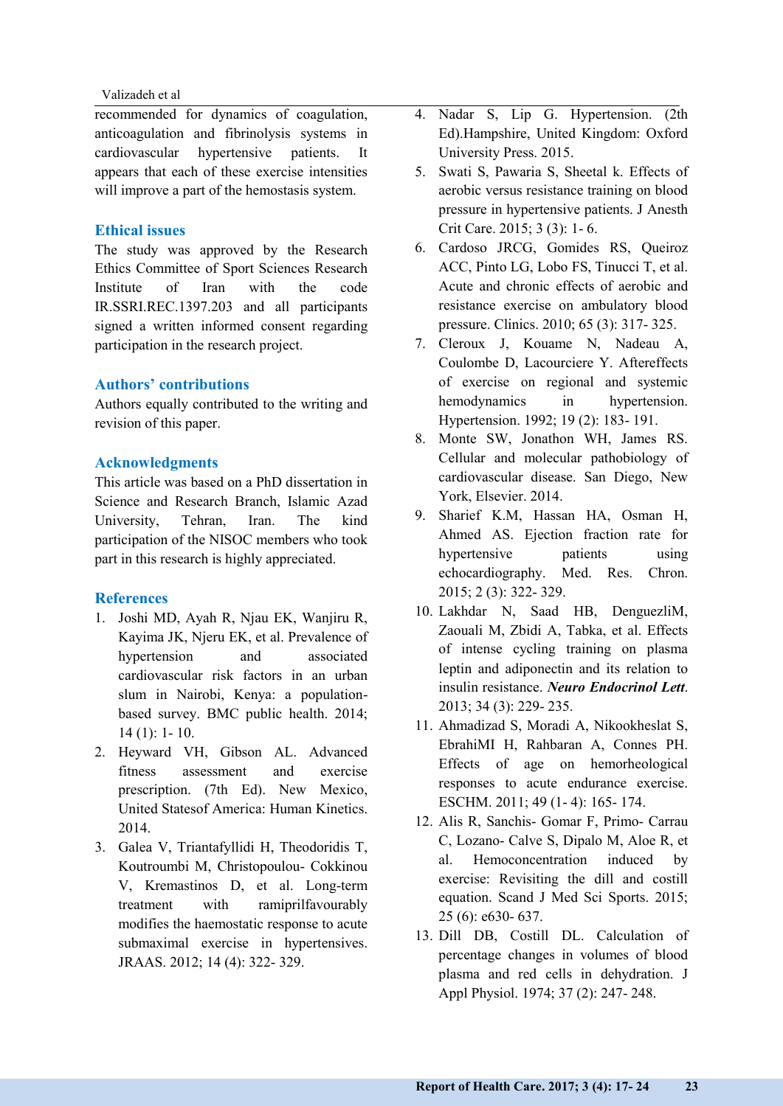recommended for dynamics of coagulation, anticoagulation and fibrinolysis systems in cardiovascular hypertensive patients. It appears that each of these exercise intensities will improve a part of the hemostasis system.

#### **Ethical issues**

The study was approved by the Research Ethics Committee of Sport Sciences Research Institute of Iran with the code IR.SSRI.REC.1397.203 and all participants signed a written informed consent regarding participation in the research project.

#### **Authors' contributions**

Authors equally contributed to the writing and revision of this paper.

### **Acknowledgments**

This article was based on a PhD dissertation in Science and Research Branch, Islamic Azad University, Tehran, Iran. The kind participation of the NISOC members who took part in this research is highly appreciated.

#### **References**

- 1. Joshi MD, Ayah R, Njau EK, Wanjiru R, Kayima JK, Njeru EK, et al. Prevalence of hypertension and associated cardiovascular risk factors in an urban slum in Nairobi, Kenya: a populationbased survey. BMC public health. 2014; 14 (1): 1- 10.
- 2. Heyward VH, Gibson AL. Advanced fitness assessment and exercise prescription. (7th Ed). New Mexico, United Statesof America: Human Kinetics. 2014.
- 3. Galea V, Triantafyllidi H, Theodoridis T, Koutroumbi M, Christopoulou- Cokkinou V, Kremastinos D, et al. Long-term treatment with ramiprilfavourably modifies the haemostatic response to acute submaximal exercise in hypertensives. JRAAS. 2012; 14 (4): 322- 329.
- 4. Nadar S, Lip G. Hypertension. (2th Ed).Hampshire, United Kingdom: Oxford University Press. 2015.
- 5. Swati S, Pawaria S, Sheetal k. Effects of aerobic versus resistance training on blood pressure in hypertensive patients. J Anesth Crit Care. 2015; 3 (3): 1- 6.
- 6. Cardoso JRCG, Gomides RS, Queiroz ACC, Pinto LG, Lobo FS, Tinucci T, et al. Acute and chronic effects of aerobic and resistance exercise on ambulatory blood pressure. Clinics. 2010; 65 (3): 317- 325.
- 7. Cleroux J, Kouame N, Nadeau A, Coulombe D, Lacourciere Y. Aftereffects of exercise on regional and systemic hemodynamics in hypertension. Hypertension. 1992; 19 (2): 183- 191.
- 8. Monte SW, Jonathon WH, James RS. Cellular and molecular pathobiology of cardiovascular disease. San Diego, New York, Elsevier. 2014.
- 9. Sharief K.M, Hassan HA, Osman H, Ahmed AS. Ejection fraction rate for hypertensive patients using echocardiography. Med. Res. Chron. 2015; 2 (3): 322- 329.
- 10. Lakhdar N, Saad HB, DenguezliM, Zaouali M, Zbidi A, Tabka, et al. Effects of intense cycling training on plasma leptin and adiponectin and its relation to insulin resistance. *Neuro Endocrinol Lett*. 2013; 34 (3): 229- 235.
- 11. Ahmadizad S, Moradi A, Nikookheslat S, EbrahiMI H, Rahbaran A, Connes PH. Effects of age on hemorheological responses to acute endurance exercise. ESCHM. 2011; 49 (1- 4): 165- 174.
- 12. Alis R, Sanchis- [Gomar F,](https://www.ncbi.nlm.nih.gov/pubmed/?term=Sanchis-Gomar%20F%5BAuthor%5D&cauthor=true&cauthor_uid=25557039) Primo- [Carrau](https://www.ncbi.nlm.nih.gov/pubmed/?term=Primo-Carrau%20C%5BAuthor%5D&cauthor=true&cauthor_uid=25557039)  [C,](https://www.ncbi.nlm.nih.gov/pubmed/?term=Primo-Carrau%20C%5BAuthor%5D&cauthor=true&cauthor_uid=25557039) [Lozano-](https://www.ncbi.nlm.nih.gov/pubmed/?term=Lozano-Calve%20S%5BAuthor%5D&cauthor=true&cauthor_uid=25557039) Calve S, [Dipalo M,](https://www.ncbi.nlm.nih.gov/pubmed/?term=Dipalo%20M%5BAuthor%5D&cauthor=true&cauthor_uid=25557039) [Aloe R,](https://www.ncbi.nlm.nih.gov/pubmed/?term=Aloe%20R%5BAuthor%5D&cauthor=true&cauthor_uid=25557039) et al. Hemoconcentration induced by exercise: Revisiting the dill and costill equation. Scand J Med Sci Sports. 2015; 25 (6): e630- 637.
- 13. Dill DB, Costill DL. Calculation of percentage changes in volumes of blood plasma and red cells in dehydration. J Appl Physiol. 1974; 37 (2): 247- 248.